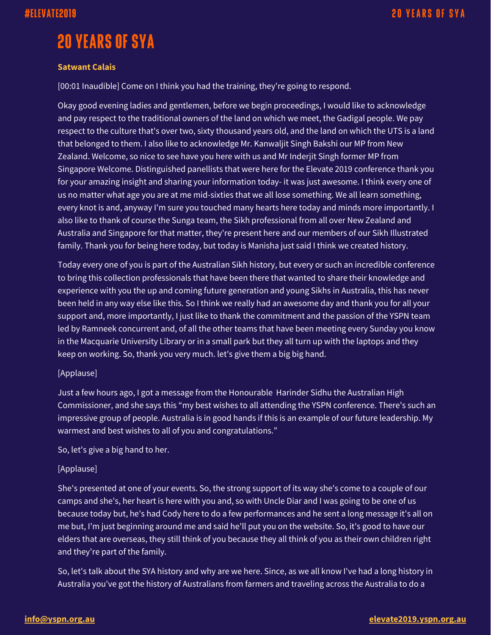# **20 YEARS OF SYA**

### **Satwant Calais**

[00:01 Inaudible] Come on I think you had the training, they're going to respond.

Okay good evening ladies and gentlemen, before we begin proceedings, I would like to acknowledge and pay respect to the traditional owners of the land on which we meet, the Gadigal people. We pay respect to the culture that's over two, sixty thousand years old, and the land on which the UTS is a land that belonged to them. I also like to acknowledge Mr. Kanwaljit Singh Bakshi our MP from New Zealand. Welcome, so nice to see have you here with us and Mr Inderjit Singh former MP from Singapore Welcome. Distinguished panellists that were here for the Elevate 2019 conference thank you for your amazing insight and sharing your information today- it was just awesome. I think every one of us no matter what age you are at me mid-sixties that we all lose something. We all learn something, every knot is and, anyway I'm sure you touched many hearts here today and minds more importantly. I also like to thank of course the Sunga team, the Sikh professional from all over New Zealand and Australia and Singapore for that matter, they're present here and our members of our Sikh Illustrated family. Thank you for being here today, but today is Manisha just said I think we created history.

Today every one of you is part of the Australian Sikh history, but every or such an incredible conference to bring this collection professionals that have been there that wanted to share their knowledge and experience with you the up and coming future generation and young Sikhs in Australia, this has never been held in any way else like this. So I think we really had an awesome day and thank you for all your support and, more importantly, I just like to thank the commitment and the passion of the YSPN team led by Ramneek concurrent and, of all the other teams that have been meeting every Sunday you know in the Macquarie University Library or in a small park but they all turn up with the laptops and they keep on working. So, thank you very much. let's give them a big big hand.

### [Applause]

Just a few hours ago, I got a message from the Honourable Harinder Sidhu the Australian High Commissioner, and she says this "my best wishes to all attending the YSPN conference. There's such an impressive group of people. Australia is in good hands if this is an example of our future leadership. My warmest and best wishes to all of you and congratulations."

So, let's give a big hand to her.

### [Applause]

She's presented at one of your events. So, the strong support of its way she's come to a couple of our camps and she's, her heart is here with you and, so with Uncle Diar and I was going to be one of us because today but, he's had Cody here to do a few performances and he sent a long message it's all on me but, I'm just beginning around me and said he'll put you on the website. So, it's good to have our elders that are overseas, they still think of you because they all think of you as their own children right and they're part of the family.

So, let's talk about the SYA history and why are we here. Since, as we all know I've had a long history in Australia you've got the history of Australians from farmers and traveling across the Australia to do a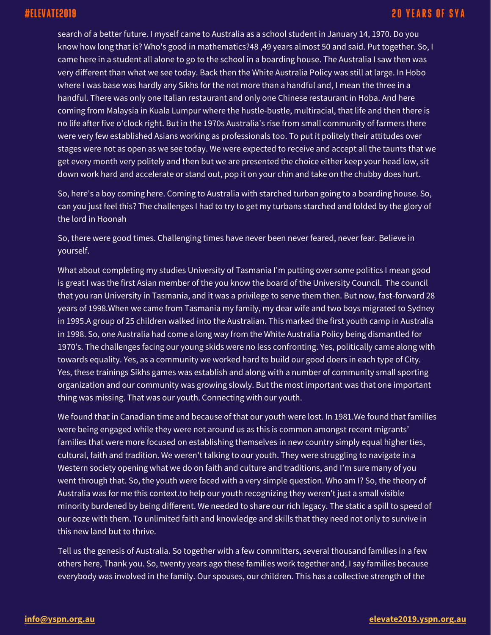search of a better future. I myself came to Australia as a school student in January 14, 1970. Do you know how long that is? Who's good in mathematics?48 ,49 years almost 50 and said. Put together. So, I came here in a student all alone to go to the school in a boarding house. The Australia I saw then was very different than what we see today. Back then the White Australia Policy was still at large. In Hobo where I was base was hardly any Sikhs for the not more than a handful and, I mean the three in a handful. There was only one Italian restaurant and only one Chinese restaurant in Hoba. And here coming from Malaysia in Kuala Lumpur where the hustle-bustle, multiracial, that life and then there is no life after five o'clock right. But in the 1970s Australia's rise from small community of farmers there were very few established Asians working as professionals too. To put it politely their attitudes over stages were not as open as we see today. We were expected to receive and accept all the taunts that we get every month very politely and then but we are presented the choice either keep your head low, sit down work hard and accelerate or stand out, pop it on your chin and take on the chubby does hurt.

So, here's a boy coming here. Coming to Australia with starched turban going to a boarding house. So, can you just feel this? The challenges I had to try to get my turbans starched and folded by the glory of the lord in Hoonah

So, there were good times. Challenging times have never been never feared, never fear. Believe in yourself.

What about completing my studies University of Tasmania I'm putting over some politics I mean good is great I was the first Asian member of the you know the board of the University Council. The council that you ran University in Tasmania, and it was a privilege to serve them then. But now, fast-forward 28 years of 1998.When we came from Tasmania my family, my dear wife and two boys migrated to Sydney in 1995.A group of 25 children walked into the Australian. This marked the first youth camp in Australia in 1998. So, one Australia had come a long way from the White Australia Policy being dismantled for 1970's. The challenges facing our young skids were no less confronting. Yes, politically came along with towards equality. Yes, as a community we worked hard to build our good doers in each type of City. Yes, these trainings Sikhs games was establish and along with a number of community small sporting organization and our community was growing slowly. But the most important was that one important thing was missing. That was our youth. Connecting with our youth.

We found that in Canadian time and because of that our youth were lost. In 1981.We found that families were being engaged while they were not around us as this is common amongst recent migrants' families that were more focused on establishing themselves in new country simply equal higher ties, cultural, faith and tradition. We weren't talking to our youth. They were struggling to navigate in a Western society opening what we do on faith and culture and traditions, and I'm sure many of you went through that. So, the youth were faced with a very simple question. Who am I? So, the theory of Australia was for me this context.to help our youth recognizing they weren't just a small visible minority burdened by being different. We needed to share our rich legacy. The static a spill to speed of our ooze with them. To unlimited faith and knowledge and skills that they need not only to survive in this new land but to thrive.

Tell us the genesis of Australia. So together with a few committers, several thousand families in a few others here, Thank you. So, twenty years ago these families work together and, I say families because everybody was involved in the family. Our spouses, our children. This has a collective strength of the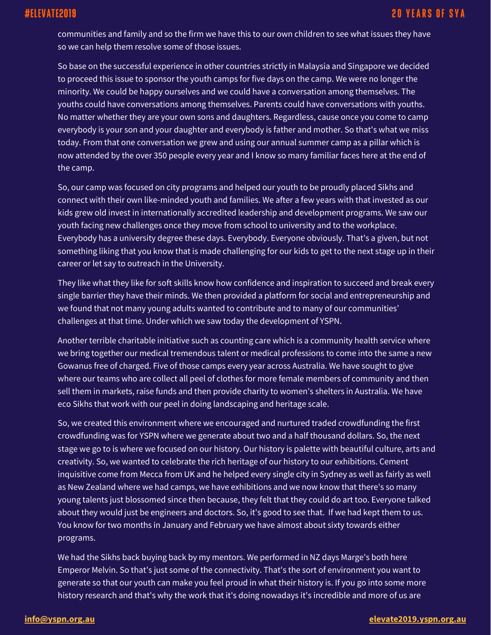communities and family and so the firm we have this to our own children to see what issues they have so we can help them resolve some of those issues.

So base on the successful experience in other countries strictly in Malaysia and Singapore we decided to proceed this issue to sponsor the youth camps for five days on the camp. We were no longer the minority. We could be happy ourselves and we could have a conversation among themselves. The youths could have conversations among themselves. Parents could have conversations with youths. No matter whether they are your own sons and daughters. Regardless, cause once you come to camp everybody is your son and your daughter and everybody is father and mother. So that's what we miss today. From that one conversation we grew and using our annual summer camp as a pillar which is now attended by the over 350 people every year and I know so many familiar faces here at the end of the camp.

So, our camp was focused on city programs and helped our youth to be proudly placed Sikhs and connect with their own like-minded youth and families. We after a few years with that invested as our kids grew old invest in internationally accredited leadership and development programs. We saw our youth facing new challenges once they move from school to university and to the workplace. Everybody has a university degree these days. Everybody. Everyone obviously. That's a given, but not something liking that you know that is made challenging for our kids to get to the next stage up in their career or let say to outreach in the University.

They like what they like for soft skills know how confidence and inspiration to succeed and break every single barrier they have their minds. We then provided a platform for social and entrepreneurship and we found that not many young adults wanted to contribute and to many of our communities' challenges at that time. Under which we saw today the development of YSPN.

Another terrible charitable initiative such as counting care which is a community health service where we bring together our medical tremendous talent or medical professions to come into the same a new Gowanus free of charged. Five of those camps every year across Australia. We have sought to give where our teams who are collect all peel of clothes for more female members of community and then sell them in markets, raise funds and then provide charity to women's shelters in Australia. We have eco Sikhs that work with our peel in doing landscaping and heritage scale.

So, we created this environment where we encouraged and nurtured traded crowdfunding the first crowdfunding was for YSPN where we generate about two and a half thousand dollars. So, the next stage we go to is where we focused on our history. Our history is palette with beautiful culture, arts and creativity. So, we wanted to celebrate the rich heritage of our history to our exhibitions. Cement inquisitive come from Mecca from UK and he helped every single city in Sydney as well as fairly as well as New Zealand where we had camps, we have exhibitions and we now know that there's so many young talents just blossomed since then because, they felt that they could do art too. Everyone talked about they would just be engineers and doctors. So, it's good to see that. If we had kept them to us. You know for two months in January and February we have almost about sixty towards either programs.

We had the Sikhs back buying back by my mentors. We performed in NZ days Marge's both here Emperor Melvin. So that's just some of the connectivity. That's the sort of environment you want to generate so that our youth can make you feel proud in what their history is. If you go into some more history research and that's why the work that it's doing nowadays it's incredible and more of us are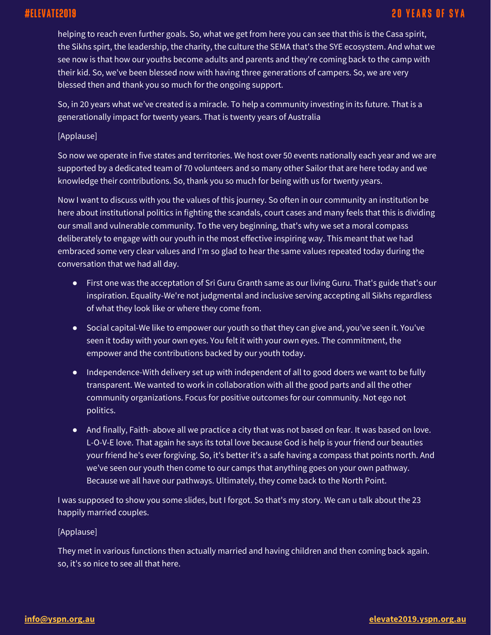# #ELEVATE2019

## **20 YEARS OF SYA**

helping to reach even further goals. So, what we get from here you can see that this is the Casa spirit, the Sikhs spirt, the leadership, the charity, the culture the SEMA that's the SYE ecosystem. And what we see now is that how our youths become adults and parents and they're coming back to the camp with their kid. So, we've been blessed now with having three generations of campers. So, we are very blessed then and thank you so much for the ongoing support.

So, in 20 years what we've created is a miracle. To help a community investing in its future. That is a generationally impact for twenty years. That is twenty years of Australia

[Applause]

So now we operate in five states and territories. We host over 50 events nationally each year and we are supported by a dedicated team of 70 volunteers and so many other Sailor that are here today and we knowledge their contributions. So, thank you so much for being with us for twenty years.

Now I want to discuss with you the values of this journey. So often in our community an institution be here about institutional politics in fighting the scandals, court cases and many feels that this is dividing our small and vulnerable community. To the very beginning, that's why we set a moral compass deliberately to engage with our youth in the most effective inspiring way. This meant that we had embraced some very clear values and I'm so glad to hear the same values repeated today during the conversation that we had all day.

- First one was the acceptation of Sri Guru Granth same as our living Guru. That's guide that's our inspiration. Equality-We're not judgmental and inclusive serving accepting all Sikhs regardless of what they look like or where they come from.
- Social capital-We like to empower our youth so that they can give and, you've seen it. You've seen it today with your own eyes. You felt it with your own eyes. The commitment, the empower and the contributions backed by our youth today.
- Independence-With delivery set up with independent of all to good doers we want to be fully transparent. We wanted to work in collaboration with all the good parts and all the other community organizations. Focus for positive outcomes for our community. Not ego not politics.
- And finally, Faith- above all we practice a city that was not based on fear. It was based on love. L-O-V-E love. That again he says its total love because God is help is your friend our beauties your friend he's ever forgiving. So, it's better it's a safe having a compass that points north. And we've seen our youth then come to our camps that anything goes on your own pathway. Because we all have our pathways. Ultimately, they come back to the North Point.

I was supposed to show you some slides, but I forgot. So that's my story. We can u talk about the 23 happily married couples.

### [Applause]

They met in various functions then actually married and having children and then coming back again. so, it's so nice to see all that here.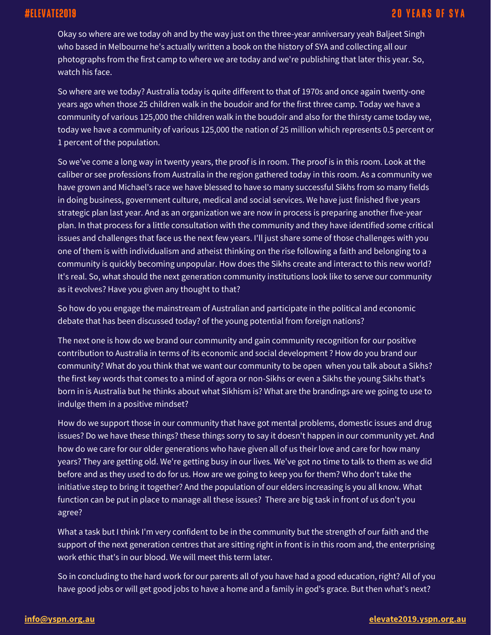Okay so where are we today oh and by the way just on the three-year anniversary yeah Baljeet Singh who based in Melbourne he's actually written a book on the history of SYA and collecting all our photographs from the first camp to where we are today and we're publishing that later this year. So, watch his face.

So where are we today? Australia today is quite different to that of 1970s and once again twenty-one years ago when those 25 children walk in the boudoir and for the first three camp. Today we have a community of various 125,000 the children walk in the boudoir and also for the thirsty came today we, today we have a community of various 125,000 the nation of 25 million which represents 0.5 percent or 1 percent of the population.

So we've come a long way in twenty years, the proof is in room. The proof is in this room. Look at the caliber or see professions from Australia in the region gathered today in this room. As a community we have grown and Michael's race we have blessed to have so many successful Sikhs from so many fields in doing business, government culture, medical and social services. We have just finished five years strategic plan last year. And as an organization we are now in process is preparing another five-year plan. In that process for a little consultation with the community and they have identified some critical issues and challenges that face us the next few years. I'll just share some of those challenges with you one of them is with individualism and atheist thinking on the rise following a faith and belonging to a community is quickly becoming unpopular. How does the Sikhs create and interact to this new world? It's real. So, what should the next generation community institutions look like to serve our community as it evolves? Have you given any thought to that?

So how do you engage the mainstream of Australian and participate in the political and economic debate that has been discussed today? of the young potential from foreign nations?

The next one is how do we brand our community and gain community recognition for our positive contribution to Australia in terms of its economic and social development ? How do you brand our community? What do you think that we want our community to be open when you talk about a Sikhs? the first key words that comes to a mind of agora or non-Sikhs or even a Sikhs the young Sikhs that's born in is Australia but he thinks about what Sikhism is? What are the brandings are we going to use to indulge them in a positive mindset?

How do we support those in our community that have got mental problems, domestic issues and drug issues? Do we have these things? these things sorry to say it doesn't happen in our community yet. And how do we care for our older generations who have given all of us their love and care for how many years? They are getting old. We're getting busy in our lives. We've got no time to talk to them as we did before and as they used to do for us. How are we going to keep you for them? Who don't take the initiative step to bring it together? And the population of our elders increasing is you all know. What function can be put in place to manage all these issues? There are big task in front of us don't you agree?

What a task but I think I'm very confident to be in the community but the strength of our faith and the support of the next generation centres that are sitting right in front is in this room and, the enterprising work ethic that's in our blood. We will meet this term later.

So in concluding to the hard work for our parents all of you have had a good education, right? All of you have good jobs or will get good jobs to have a home and a family in god's grace. But then what's next?